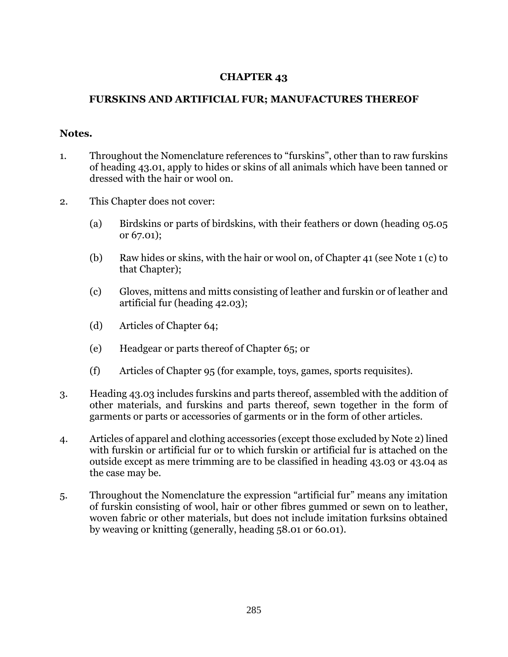## **CHAPTER 43**

## **FURSKINS AND ARTIFICIAL FUR; MANUFACTURES THEREOF**

## **Notes.**

- 1. Throughout the Nomenclature references to "furskins", other than to raw furskins of heading 43.01, apply to hides or skins of all animals which have been tanned or dressed with the hair or wool on.
- 2. This Chapter does not cover:
	- (a) Birdskins or parts of birdskins, with their feathers or down (heading 05.05 or 67.01);
	- (b) Raw hides or skins, with the hair or wool on, of Chapter 41 (see Note 1 (c) to that Chapter);
	- (c) Gloves, mittens and mitts consisting of leather and furskin or of leather and artificial fur (heading 42.03);
	- (d) Articles of Chapter 64;
	- (e) Headgear or parts thereof of Chapter 65; or
	- (f) Articles of Chapter 95 (for example, toys, games, sports requisites).
- 3. Heading 43.03 includes furskins and parts thereof, assembled with the addition of other materials, and furskins and parts thereof, sewn together in the form of garments or parts or accessories of garments or in the form of other articles.
- 4. Articles of apparel and clothing accessories (except those excluded by Note 2) lined with furskin or artificial fur or to which furskin or artificial fur is attached on the outside except as mere trimming are to be classified in heading 43.03 or 43.04 as the case may be.
- 5. Throughout the Nomenclature the expression "artificial fur" means any imitation of furskin consisting of wool, hair or other fibres gummed or sewn on to leather, woven fabric or other materials, but does not include imitation furksins obtained by weaving or knitting (generally, heading 58.01 or 60.01).